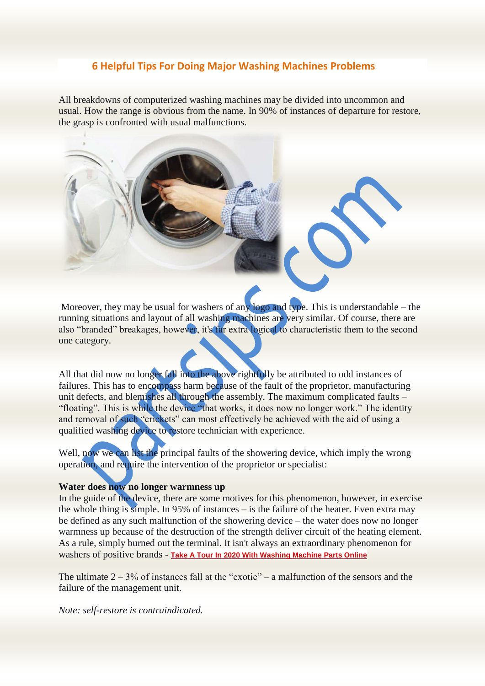# **6 Helpful Tips For Doing Major Washing Machines Problems**

All breakdowns of computerized washing machines may be divided into uncommon and usual. How the range is obvious from the name. In 90% of instances of departure for restore, the grasp is confronted with usual malfunctions.



Moreover, they may be usual for washers of any logo and type. This is understandable – the running situations and layout of all washing machines are very similar. Of course, there are also "branded" breakages, however, it's far extra logical to characteristic them to the second one category.

All that did now no longer fall into the above rightfully be attributed to odd instances of failures. This has to encompass harm because of the fault of the proprietor, manufacturing unit defects, and blemishes all through the assembly. The maximum complicated faults – "floating". This is while the device "that works, it does now no longer work." The identity and removal of such "crickets" can most effectively be achieved with the aid of using a qualified washing device to restore technician with experience.

Well, now we can list the principal faults of the showering device, which imply the wrong operation, and require the intervention of the proprietor or specialist:

# **Water does now no longer warmness up**

In the guide of the device, there are some motives for this phenomenon, however, in exercise the whole thing is simple. In 95% of instances – is the failure of the heater. Even extra may be defined as any such malfunction of the showering device – the water does now no longer warmness up because of the destruction of the strength deliver circuit of the heating element. As a rule, simply burned out the terminal. It isn't always an extraordinary phenomenon for washers of positive brands - **[Take A Tour In 2020 With Washing Machine Parts Online](https://www.partsips.com/blog-washing-machine-parts)**

The ultimate  $2 - 3\%$  of instances fall at the "exotic" – a malfunction of the sensors and the failure of the management unit.

*Note: self-restore is contraindicated.*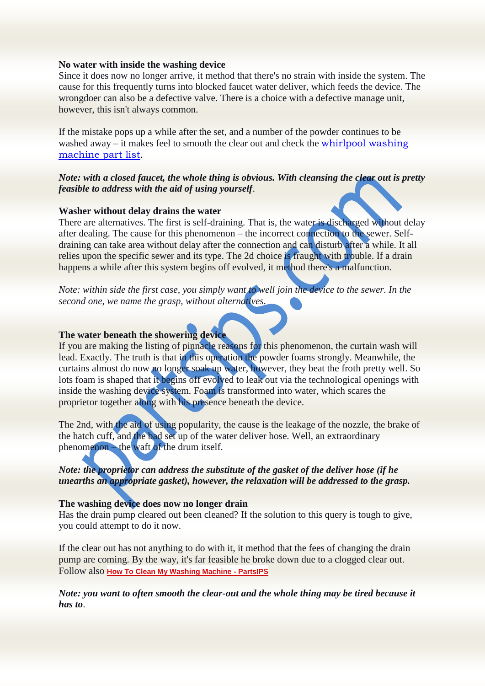#### **No water with inside the washing device**

Since it does now no longer arrive, it method that there's no strain with inside the system. The cause for this frequently turns into blocked faucet water deliver, which feeds the device. The wrongdoer can also be a defective valve. There is a choice with a defective manage unit, however, this isn't always common.

If the mistake pops up a while after the set, and a number of the powder continues to be washed away – it makes feel to smooth the clear out and check the [whirlpool washing](https://www.partsips.com/whirlpool-appliance-parts)  [machine part list.](https://www.partsips.com/whirlpool-appliance-parts)

### *Note: with a closed faucet, the whole thing is obvious. With cleansing the clear out is pretty feasible to address with the aid of using yourself*.

#### **Washer without delay drains the water**

There are alternatives. The first is self-draining. That is, the water is discharged without delay after dealing. The cause for this phenomenon – the incorrect connection to the sewer. Selfdraining can take area without delay after the connection and can disturb after a while. It all relies upon the specific sewer and its type. The 2d choice is fraught with trouble. If a drain happens a while after this system begins off evolved, it method there's a malfunction.

*Note: within side the first case, you simply want to well join the device to the sewer. In the second one, we name the grasp, without alternatives*.

## **The water beneath the showering device**

If you are making the listing of pinnacle reasons for this phenomenon, the curtain wash will lead. Exactly. The truth is that in this operation the powder foams strongly. Meanwhile, the curtains almost do now no longer soak up water, however, they beat the froth pretty well. So lots foam is shaped that it begins off evolved to leak out via the technological openings with inside the washing device system. Foam is transformed into water, which scares the proprietor together along with his presence beneath the device.

The 2nd, with the aid of using popularity, the cause is the leakage of the nozzle, the brake of the hatch cuff, and the bad set up of the water deliver hose. Well, an extraordinary phenomenon – the waft of the drum itself.

### *Note: the proprietor can address the substitute of the gasket of the deliver hose (if he unearths an appropriate gasket), however, the relaxation will be addressed to the grasp.*

#### **The washing device does now no longer drain**

Has the drain pump cleared out been cleaned? If the solution to this query is tough to give, you could attempt to do it now.

If the clear out has not anything to do with it, it method that the fees of changing the drain pump are coming. By the way, it's far feasible he broke down due to a clogged clear out. Follow also **[How To Clean My Washing Machine -](https://www.partsips.com/blog-how-to-clean-my-washing-machine) PartsIPS**

*Note: you want to often smooth the clear-out and the whole thing may be tired because it has to*.